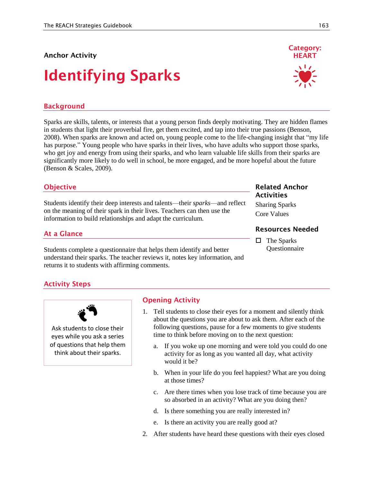### **Anchor Activity**

# **Identifying Sparks**

# **Background**

Sparks are skills, talents, or interests that a young person finds deeply motivating. They are hidden flames in students that light their proverbial fire, get them excited, and tap into their true passions (Benson, 2008). When sparks are known and acted on, young people come to the life-changing insight that "my life has purpose." Young people who have sparks in their lives, who have adults who support those sparks, who get joy and energy from using their sparks, and who learn valuable life skills from their sparks are significantly more likely to do well in school, be more engaged, and be more hopeful about the future (Benson & Scales, 2009).

### **Objective**

Students identify their deep interests and talents—their *sparks*—and reflect on the meaning of their spark in their lives. Teachers can then use the information to build relationships and adapt the curriculum.

### **At a Glance**

Students complete a questionnaire that helps them identify and better understand their sparks. The teacher reviews it, notes key information, and returns it to students with affirming comments.

# **Activity Steps**



Ask students to close their eyes while you ask a series of questions that help them think about their sparks.

### **Opening Activity**

- 1. Tell students to close their eyes for a moment and silently think about the questions you are about to ask them. After each of the following questions, pause for a few moments to give students time to think before moving on to the next question:
	- a. If you woke up one morning and were told you could do one activity for as long as you wanted all day, what activity would it be?
	- b. When in your life do you feel happiest? What are you doing at those times?
	- c. Are there times when you lose track of time because you are so absorbed in an activity? What are you doing then?
	- d. Is there something you are really interested in?
	- e. Is there an activity you are really good at?
- 2. After students have heard these questions with their eyes closed

### **Related Anchor Activities**

Sharing Sparks Core Values

### **Resources Needed**

 $\Box$  The Sparks Questionnaire

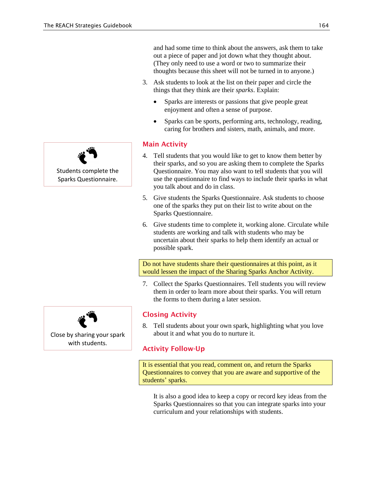and had some time to think about the answers, ask them to take out a piece of paper and jot down what they thought about. (They only need to use a word or two to summarize their thoughts because this sheet will not be turned in to anyone.)

- 3. Ask students to look at the list on their paper and circle the things that they think are their *sparks*. Explain:
	- Sparks are interests or passions that give people great enjoyment and often a sense of purpose.
	- Sparks can be sports, performing arts, technology, reading, caring for brothers and sisters, math, animals, and more.

### **Main Activity**

- 4. Tell students that you would like to get to know them better by their sparks, and so you are asking them to complete the Sparks Questionnaire. You may also want to tell students that you will use the questionnaire to find ways to include their sparks in what you talk about and do in class.
- 5. Give students the Sparks Questionnaire. Ask students to choose one of the sparks they put on their list to write about on the Sparks Questionnaire.
- 6. Give students time to complete it, working alone. Circulate while students are working and talk with students who may be uncertain about their sparks to help them identify an actual or possible spark.

Do not have students share their questionnaires at this point, as it would lessen the impact of the Sharing Sparks Anchor Activity.

7. Collect the Sparks Questionnaires. Tell students you will review them in order to learn more about their sparks. You will return the forms to them during a later session.

### **Closing Activity**

8. Tell students about your own spark, highlighting what you love about it and what you do to nurture it.

# **Activity Follow-Up**

It is essential that you read, comment on, and return the Sparks Questionnaires to convey that you are aware and supportive of the students' sparks.

It is also a good idea to keep a copy or record key ideas from the Sparks Questionnaires so that you can integrate sparks into your curriculum and your relationships with students.





Close by sharing your spark with students.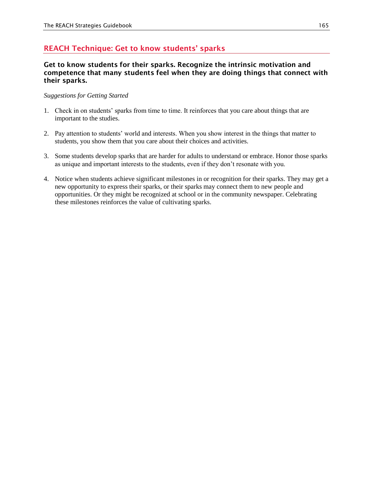# **REACH Technique: Get to know students' sparks**

### **Get to know students for their sparks. Recognize the intrinsic motivation and competence that many students feel when they are doing things that connect with their sparks.**

### *Suggestions for Getting Started*

- 1. Check in on students' sparks from time to time. It reinforces that you care about things that are important to the studies.
- 2. Pay attention to students' world and interests. When you show interest in the things that matter to students, you show them that you care about their choices and activities.
- 3. Some students develop sparks that are harder for adults to understand or embrace. Honor those sparks as unique and important interests to the students, even if they don't resonate with you.
- 4. Notice when students achieve significant milestones in or recognition for their sparks. They may get a new opportunity to express their sparks, or their sparks may connect them to new people and opportunities. Or they might be recognized at school or in the community newspaper. Celebrating these milestones reinforces the value of cultivating sparks.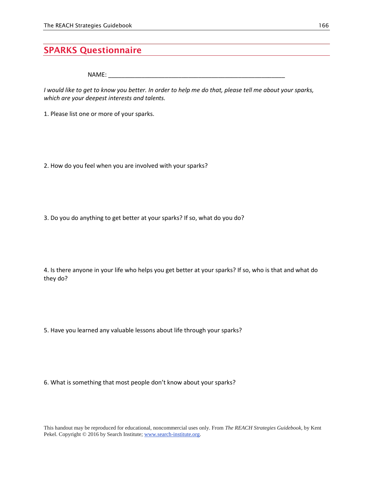# **SPARKS Questionnaire**

NAME: \_\_\_\_\_\_\_\_\_\_\_\_\_\_\_\_\_\_\_\_\_\_\_\_\_\_\_\_\_\_\_\_\_\_\_\_\_\_\_\_\_\_\_\_\_\_\_\_\_\_\_\_\_

*I would like to get to know you better. In order to help me do that, please tell me about your sparks, which are your deepest interests and talents.*

1. Please list one or more of your sparks.

2. How do you feel when you are involved with your sparks?

3. Do you do anything to get better at your sparks? If so, what do you do?

4. Is there anyone in your life who helps you get better at your sparks? If so, who is that and what do they do?

5. Have you learned any valuable lessons about life through your sparks?

6. What is something that most people don't know about your sparks?

This handout may be reproduced for educational, noncommercial uses only. From *The REACH Strategies Guidebook,* by Kent Pekel. Copyright © 2016 by Search Institute; www.search-institute.org.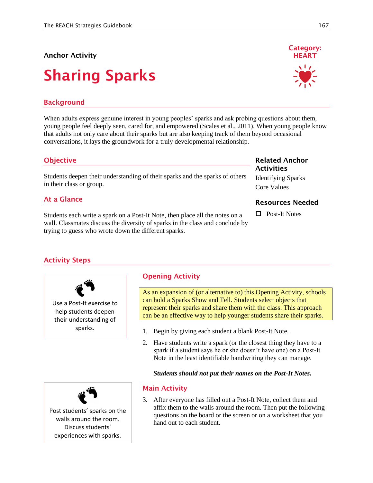### **Anchor Activity**

# **Sharing Sparks**

# **Background**

When adults express genuine interest in young peoples' sparks and ask probing questions about them, young people feel deeply seen, cared for, and empowered (Scales et al., 2011). When young people know that adults not only care about their sparks but are also keeping track of them beyond occasional conversations, it lays the groundwork for a truly developmental relationship.

### **Objective**

Students deepen their understanding of their sparks and the sparks of others in their class or group.

### **At a Glance**

Students each write a spark on a Post-It Note, then place all the notes on a wall. Classmates discuss the diversity of sparks in the class and conclude by trying to guess who wrote down the different sparks.

### **Related Anchor Activities**

Identifying Sparks Core Values

### **Resources Needed**

□ Post-It Notes

# **Activity Steps**

Use a Post-It exercise to help students deepen their understanding of sparks.

# **Opening Activity**

As an expansion of (or alternative to) this Opening Activity, schools can hold a Sparks Show and Tell. Students select objects that represent their sparks and share them with the class. This approach can be an effective way to help younger students share their sparks.

- 1. Begin by giving each student a blank Post-It Note.
- 2. Have students write a spark (or the closest thing they have to a spark if a student says he or she doesn't have one) on a Post-It Note in the least identifiable handwriting they can manage.

### *Students should not put their names on the Post-It Notes.*



### **Main Activity**

3. After everyone has filled out a Post-It Note, collect them and affix them to the walls around the room. Then put the following questions on the board or the screen or on a worksheet that you hand out to each student.